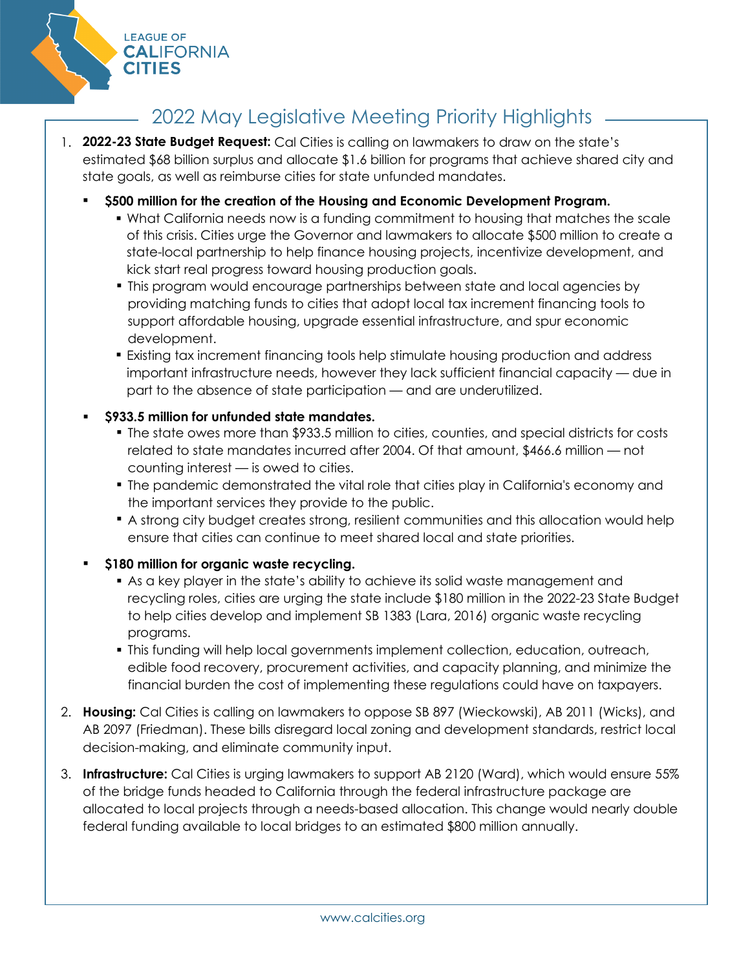

# 2022 May Legislative Meeting Priority Highlights

- 1. **2022-23 State Budget Request:** Cal Cities is calling on lawmakers to draw on the state's estimated \$68 billion surplus and allocate \$1.6 billion for programs that achieve shared city and state goals, as well as reimburse cities for state unfunded mandates.
	- **\$500 million for the creation of the Housing and Economic Development Program.**
		- What California needs now is a funding commitment to housing that matches the scale of this crisis. Cities urge the Governor and lawmakers to allocate \$500 million to create a state-local partnership to help finance housing projects, incentivize development, and kick start real progress toward housing production goals.
		- This program would encourage partnerships between state and local agencies by providing matching funds to cities that adopt local tax increment financing tools to support affordable housing, upgrade essential infrastructure, and spur economic development.
		- **Existing tax increment financing tools help stimulate housing production and address** important infrastructure needs, however they lack sufficient financial capacity — due in part to the absence of state participation — and are underutilized.

# **\$933.5 million for unfunded state mandates.**

- The state owes more than \$933.5 million to cities, counties, and special districts for costs related to state mandates incurred after 2004. Of that amount, \$466.6 million — not counting interest — is owed to cities.
- The pandemic demonstrated the vital role that cities play in California's economy and the important services they provide to the public.
- A strong city budget creates strong, resilient communities and this allocation would help ensure that cities can continue to meet shared local and state priorities.

# **\$180 million for organic waste recycling.**

- As a key player in the state's ability to achieve its solid waste management and recycling roles, cities are urging the state include \$180 million in the 2022-23 State Budget to help cities develop and implement SB 1383 (Lara, 2016) organic waste recycling programs.
- This funding will help local governments implement collection, education, outreach, edible food recovery, procurement activities, and capacity planning, and minimize the financial burden the cost of implementing these regulations could have on taxpayers.
- 2. **Housing:** Cal Cities is calling on lawmakers to oppose SB 897 (Wieckowski), AB 2011 (Wicks), and AB 2097 (Friedman). These bills disregard local zoning and development standards, restrict local decision-making, and eliminate community input.
- 3. **Infrastructure:** Cal Cities is urging lawmakers to support AB 2120 (Ward), which would ensure 55% of the bridge funds headed to California through the federal infrastructure package are allocated to local projects through a needs-based allocation. This change would nearly double federal funding available to local bridges to an estimated \$800 million annually.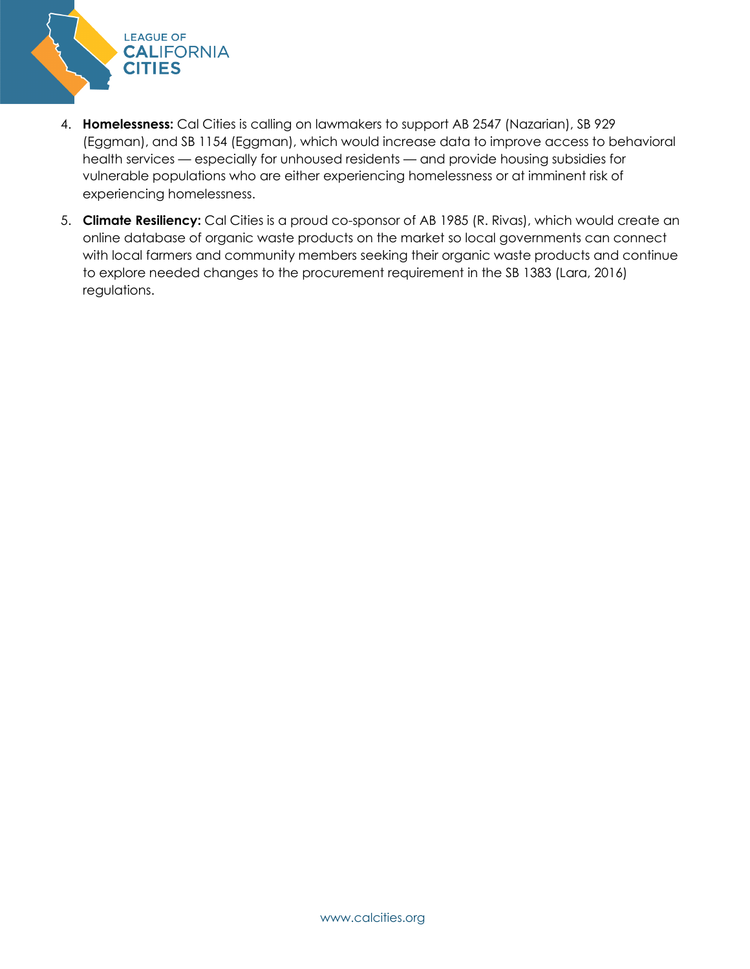

- 4. **Homelessness:** Cal Cities is calling on lawmakers to support AB 2547 (Nazarian), SB 929 (Eggman), and SB 1154 (Eggman), which would increase data to improve access to behavioral health services — especially for unhoused residents — and provide housing subsidies for vulnerable populations who are either experiencing homelessness or at imminent risk of experiencing homelessness.
- 5. **Climate Resiliency:** Cal Cities is a proud co-sponsor of AB 1985 (R. Rivas), which would create an online database of organic waste products on the market so local governments can connect with local farmers and community members seeking their organic waste products and continue to explore needed changes to the procurement requirement in the SB 1383 (Lara, 2016) regulations.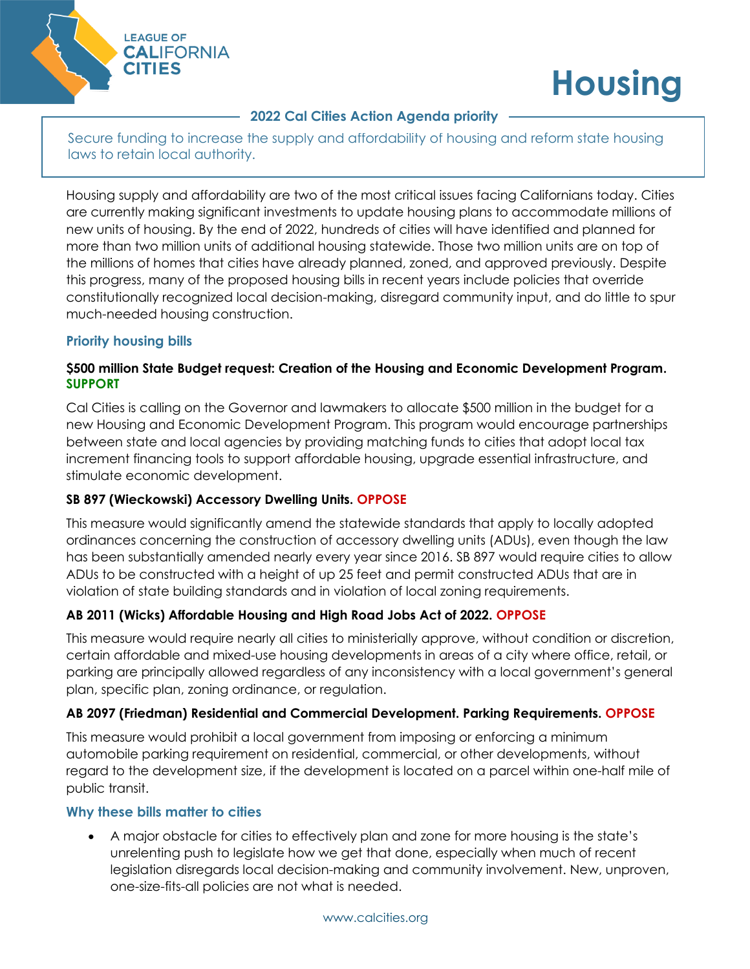

# **Housing**

# **2022 Cal Cities Action Agenda priority**

Secure funding to increase the supply and affordability of housing and reform state housing laws to retain local authority.

Housing supply and affordability are two of the most critical issues facing Californians today. Cities are currently making significant investments to update housing plans to accommodate millions of new units of housing. By the end of 2022, hundreds of cities will have identified and planned for more than two million units of additional housing statewide. Those two million units are on top of the millions of homes that cities have already planned, zoned, and approved previously. Despite this progress, many of the proposed housing bills in recent years include policies that override constitutionally recognized local decision-making, disregard community input, and do little to spur much-needed housing construction.

# **Priority housing bills**

# **\$500 million State Budget request: Creation of the Housing and Economic Development Program. SUPPORT**

Cal Cities is calling on the Governor and lawmakers to allocate \$500 million in the budget for a new Housing and Economic Development Program. This program would encourage partnerships between state and local agencies by providing matching funds to cities that adopt local tax increment financing tools to support affordable housing, upgrade essential infrastructure, and stimulate economic development.

# **SB 897 (Wieckowski) Accessory Dwelling Units. OPPOSE**

This measure would significantly amend the statewide standards that apply to locally adopted ordinances concerning the construction of accessory dwelling units (ADUs), even though the law has been substantially amended nearly every year since 2016. SB 897 would require cities to allow ADUs to be constructed with a height of up 25 feet and permit constructed ADUs that are in violation of state building standards and in violation of local zoning requirements.

# **AB 2011 (Wicks) Affordable Housing and High Road Jobs Act of 2022. OPPOSE**

This measure would require nearly all cities to ministerially approve, without condition or discretion, certain affordable and mixed-use housing developments in areas of a city where office, retail, or parking are principally allowed regardless of any inconsistency with a local government's general plan, specific plan, zoning ordinance, or regulation.

# **AB 2097 (Friedman) Residential and Commercial Development. Parking Requirements. OPPOSE**

This measure would prohibit a local government from imposing or enforcing a minimum automobile parking requirement on residential, commercial, or other developments, without regard to the development size, if the development is located on a parcel within one-half mile of public transit.

# **Why these bills matter to cities**

• A major obstacle for cities to effectively plan and zone for more housing is the state's unrelenting push to legislate how we get that done, especially when much of recent legislation disregards local decision-making and community involvement. New, unproven, one-size-fits-all policies are not what is needed.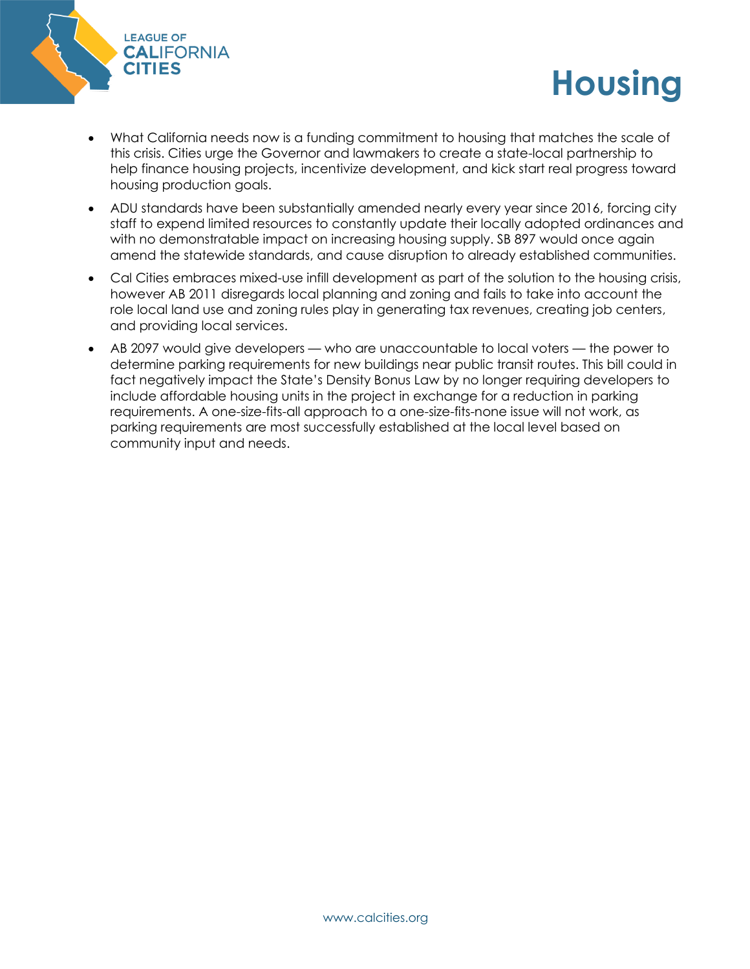

• What California needs now is a funding commitment to housing that matches the scale of this crisis. Cities urge the Governor and lawmakers to create a state-local partnership to help finance housing projects, incentivize development, and kick start real progress toward housing production goals.

**Housing**

- ADU standards have been substantially amended nearly every year since 2016, forcing city staff to expend limited resources to constantly update their locally adopted ordinances and with no demonstratable impact on increasing housing supply. SB 897 would once again amend the statewide standards, and cause disruption to already established communities.
- Cal Cities embraces mixed-use infill development as part of the solution to the housing crisis, however AB 2011 disregards local planning and zoning and fails to take into account the role local land use and zoning rules play in generating tax revenues, creating job centers, and providing local services.
- AB 2097 would give developers who are unaccountable to local voters the power to determine parking requirements for new buildings near public transit routes. This bill could in fact negatively impact the State's Density Bonus Law by no longer requiring developers to include affordable housing units in the project in exchange for a reduction in parking requirements. A one-size-fits-all approach to a one-size-fits-none issue will not work, as parking requirements are most successfully established at the local level based on community input and needs.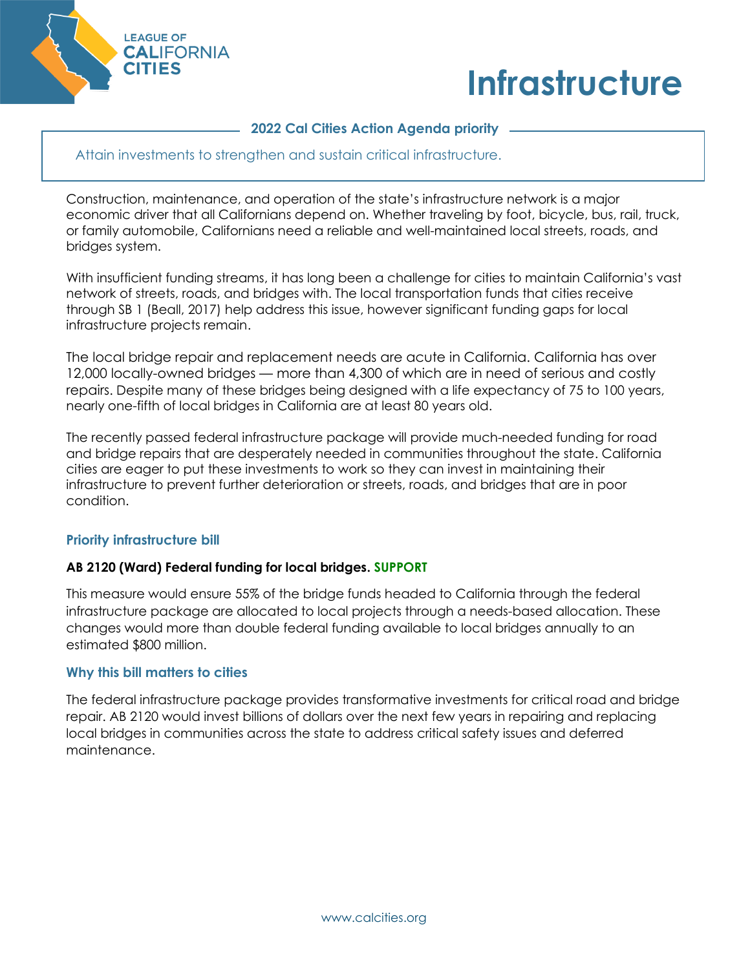



#### **2022 Cal Cities Action Agenda priority**

Attain investments to strengthen and sustain critical infrastructure.

Construction, maintenance, and operation of the state's infrastructure network is a major economic driver that all Californians depend on. Whether traveling by foot, bicycle, bus, rail, truck, or family automobile, Californians need a reliable and well-maintained local streets, roads, and bridges system.

With insufficient funding streams, it has long been a challenge for cities to maintain California's vast network of streets, roads, and bridges with. The local transportation funds that cities receive through SB 1 (Beall, 2017) help address this issue, however significant funding gaps for local infrastructure projects remain.

The local bridge repair and replacement needs are acute in California. California has over 12,000 locally-owned bridges — more than 4,300 of which are in need of serious and costly repairs. Despite many of these bridges being designed with a life expectancy of 75 to 100 years, nearly one-fifth of local bridges in California are at least 80 years old.

The recently passed federal infrastructure package will provide much-needed funding for road and bridge repairs that are desperately needed in communities throughout the state. California cities are eager to put these investments to work so they can invest in maintaining their infrastructure to prevent further deterioration or streets, roads, and bridges that are in poor condition.

# **Priority infrastructure bill**

#### **AB 2120 (Ward) Federal funding for local bridges. SUPPORT**

This measure would ensure 55% of the bridge funds headed to California through the federal infrastructure package are allocated to local projects through a needs-based allocation. These changes would more than double federal funding available to local bridges annually to an estimated \$800 million.

#### **Why this bill matters to cities**

The federal infrastructure package provides transformative investments for critical road and bridge repair. AB 2120 would invest billions of dollars over the next few years in repairing and replacing local bridges in communities across the state to address critical safety issues and deferred maintenance.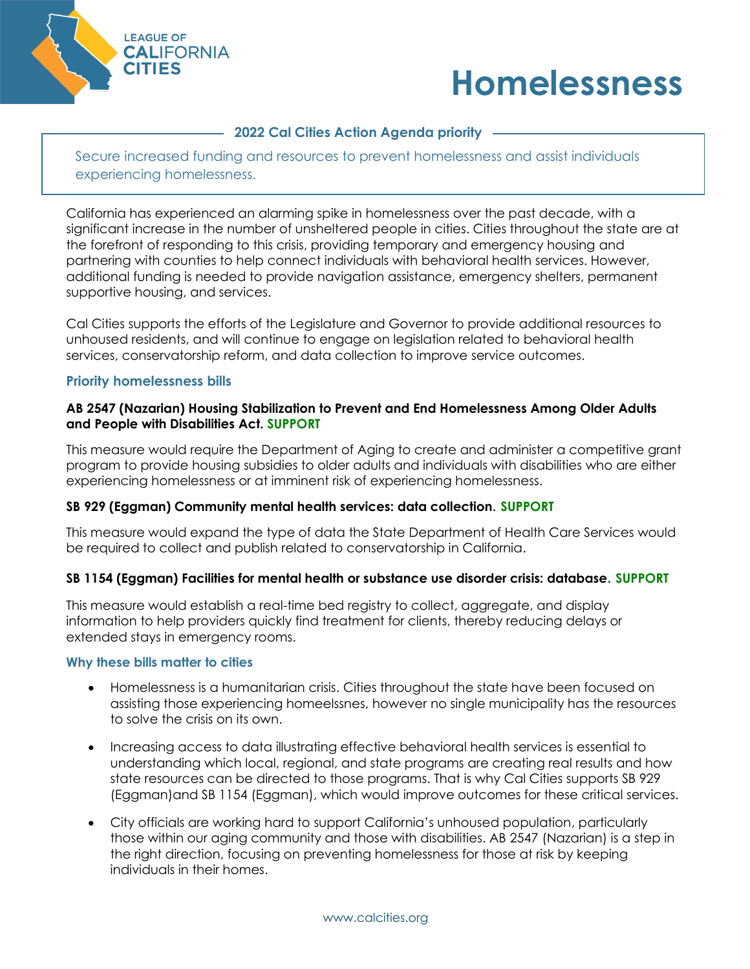



# **2022 Cal Cities Action Agenda priority**

Secure increased funding and resources to prevent homelessness and assist individuals experiencing homelessness.

California has experienced an alarming spike in homelessness over the past decade, with a significant increase in the number of unsheltered people in cities. Cities throughout the state are at the forefront of responding to this crisis, providing temporary and emergency housing and partnering with counties to help connect individuals with behavioral health services. However, additional funding is needed to provide navigation assistance, emergency shelters, permanent supportive housing, and services.

Cal Cities supports the efforts of the Legislature and Governor to provide additional resources to unhoused residents, and will continue to engage on legislation related to behavioral health services, conservatorship reform, and data collection to improve service outcomes.

#### **Priority homelessness bills**

#### **AB 2547 (Nazarian) Housing Stabilization to Prevent and End Homelessness Among Older Adults and People with Disabilities Act. SUPPORT**

This measure would require the Department of Aging to create and administer a competitive grant program to provide housing subsidies to older adults and individuals with disabilities who are either experiencing homelessness or at imminent risk of experiencing homelessness.

#### **SB 929 (Eggman) Community mental health services: data collection. SUPPORT**

This measure would expand the type of data the State Department of Health Care Services would be required to collect and publish related to conservatorship in California.

# **SB 1154 (Eggman) Facilities for mental health or substance use disorder crisis: database. SUPPORT**

This measure would establish a real-time bed registry to collect, aggregate, and display information to help providers quickly find treatment for clients, thereby reducing delays or extended stays in emergency rooms.

#### **Why these bills matter to cities**

- Homelessness is a humanitarian crisis. Cities throughout the state have been focused on assisting those experiencing homeelssnes, however no single municipality has the resources to solve the crisis on its own.
- Increasing access to data illustrating effective behavioral health services is essential to understanding which local, regional, and state programs are creating real results and how state resources can be directed to those programs. That is why Cal Cities supports SB 929 (Eggman)and SB 1154 (Eggman), which would improve outcomes for these critical services.
- City officials are working hard to support California's unhoused population, particularly those within our aging community and those with disabilities. AB 2547 (Nazarian) is a step in the right direction, focusing on preventing homelessness for those at risk by keeping individuals in their homes.